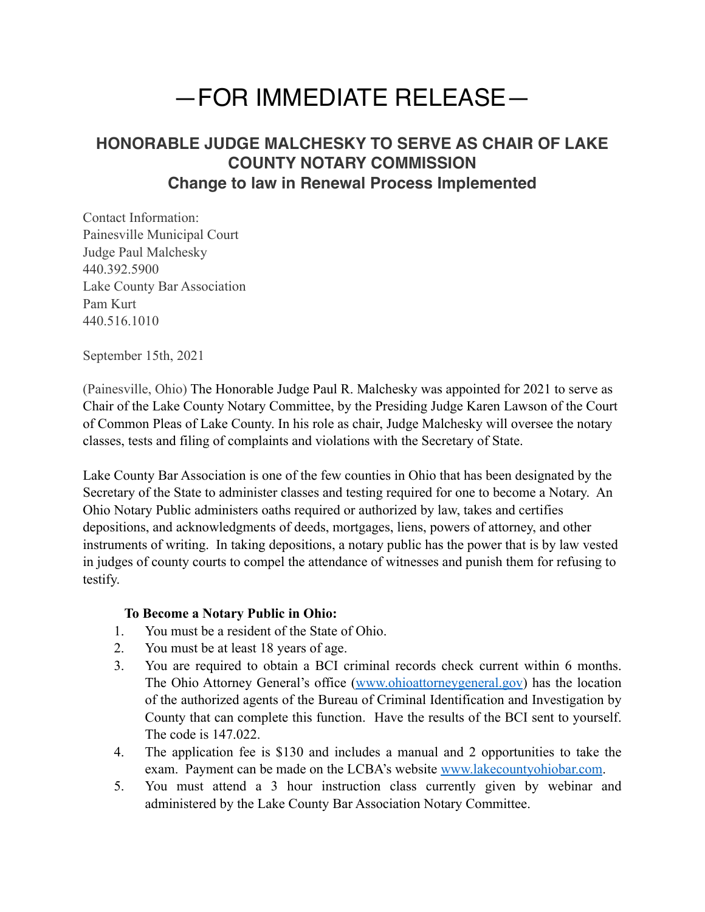## —FOR IMMEDIATE RELEASE—

## **HONORABLE JUDGE MALCHESKY TO SERVE AS CHAIR OF LAKE COUNTY NOTARY COMMISSION Change to law in Renewal Process Implemented**

Contact Information: Painesville Municipal Court Judge Paul Malchesky 440.392.5900 Lake County Bar Association Pam Kurt 440.516.1010

September 15th, 2021

(Painesville, Ohio) The Honorable Judge Paul R. Malchesky was appointed for 2021 to serve as Chair of the Lake County Notary Committee, by the Presiding Judge Karen Lawson of the Court of Common Pleas of Lake County. In his role as chair, Judge Malchesky will oversee the notary classes, tests and filing of complaints and violations with the Secretary of State.

Lake County Bar Association is one of the few counties in Ohio that has been designated by the Secretary of the State to administer classes and testing required for one to become a Notary. An Ohio Notary Public administers oaths required or authorized by law, takes and certifies depositions, and acknowledgments of deeds, mortgages, liens, powers of attorney, and other instruments of writing. In taking depositions, a notary public has the power that is by law vested in judges of county courts to compel the attendance of witnesses and punish them for refusing to testify.

## **To Become a Notary Public in Ohio:**

- 1. You must be a resident of the State of Ohio.
- 2. You must be at least 18 years of age.
- 3. You are required to obtain a BCI criminal records check current within 6 months. The Ohio Attorney General's office [\(www.ohioattorneygeneral.gov](http://www.ohioattorneygental.gov)) has the location of the authorized agents of the Bureau of Criminal Identification and Investigation by County that can complete this function. Have the results of the BCI sent to yourself. The code is 147.022.
- 4. The application fee is \$130 and includes a manual and 2 opportunities to take the exam. Payment can be made on the LCBA's website [www.lakecountyohiobar.com](http://www.lakecountyohiobar.com).
- 5. You must attend a 3 hour instruction class currently given by webinar and administered by the Lake County Bar Association Notary Committee.